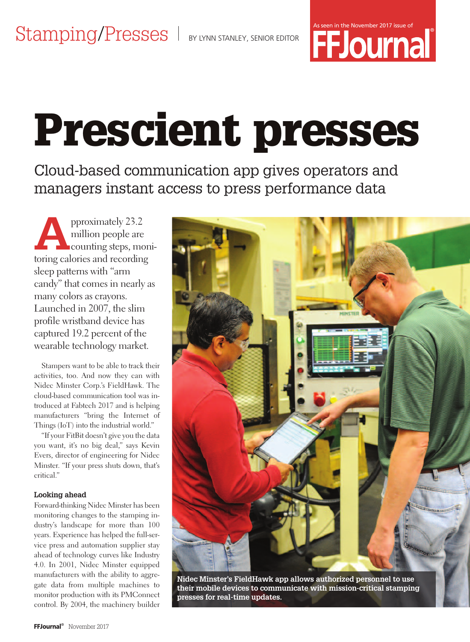

# **Prescient presses**

Cloud-based communication app gives operators and managers instant access to press performance data

pproximately 23.2<br>million people are<br>counting steps, monimillion people are toring calories and recording sleep patterns with "arm candy" that comes in nearly as many colors as crayons. Launched in 2007, the slim profile wristband device has captured 19.2 percent of the wearable technology market.

Stampers want to be able to track their activities, too. And now they can with Nidec Minster Corp.'s FieldHawk. The cloud-based communication tool was introduced at Fabtech 2017 and is helping manufacturers "bring the Internet of Things (IoT) into the industrial world."

"If your FitBit doesn't give you the data you want, it's no big deal," says Kevin Evers, director of engineering for Nidec Minster. "If your press shuts down, that's critical."

#### **Looking ahead**

Forward-thinking Nidec Minster has been monitoring changes to the stamping industry's landscape for more than 100 years. Experience has helped the full-service press and automation supplier stay ahead of technology curves like Industry 4.0. In 2001, Nidec Minster equipped manufacturers with the ability to aggregate data from multiple machines to monitor production with its PMConnect control. By 2004, the machinery builder



**Nidec Minster's FieldHawk app allows authorized personnel to use their mobile devices to communicate with mission-critical stamping presses for real-time updates.**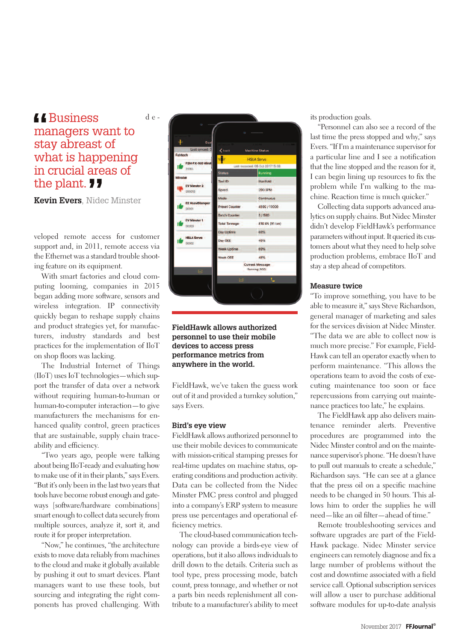### d e - *<u>ABusiness</u>* managers want to stay abreast of what is happening in crucial areas of the plant. *II*

**Kevin Evers**, Nidec Minster

veloped remote access for customer support and, in 2011, remote access via the Ethernet was a standard trouble shooting feature on its equipment.

With smart factories and cloud computing looming, companies in 2015 began adding more software, sensors and wireless integration. IP connectivity quickly began to reshape supply chains and product strategies yet, for manufacturers, industry standards and best practices for the implementation of IloT on shop floors was lacking.

The Industrial Internet of Things (IIoT) uses IoT technologies—which support the transfer of data over a network without requiring human-to-human or human-to-computer interaction—to give manufacturers the mechanisms for enhanced quality control, green practices that are sustainable, supply chain traceability and efficiency.

"Two years ago, people were talking about being IIoT-ready and evaluating how to make use of it in their plants," says Evers. "But it's only been in the last two years that tools have become robust enough and gateways [software/hardware combinations] smart enough to collect data securely from multiple sources, analyze it, sort it, and route it for proper interpretation.

"Now," he continues, "the architecture exists to move data reliably from machines to the cloud and make it globally available by pushing it out to smart devices. Plant managers want to use these tools, but sourcing and integrating the right components has proved challenging. With



#### **FieldHawk allows authorized personnel to use their mobile devices to access press performance metrics from anywhere in the world.**

FieldHawk, we've taken the guess work out of it and provided a turnkey solution," says Evers.

#### **Bird's eye view**

FieldHawk allows authorized personnel to use their mobile devices to communicate with mission-critical stamping presses for real-time updates on machine status, operating conditions and production activity. Data can be collected from the Nidec Minster PMC press control and plugged into a company's ERP system to measure press use percentages and operational efficiency metrics.

The cloud-based communication technology can provide a birds-eye view of operations, but it also allows individuals to drill down to the details. Criteria such as tool type, press processing mode, batch count, press tonnage, and whether or not a parts bin needs replenishment all contribute to a manufacturer's ability to meet its production goals.

"Personnel can also see a record of the last time the press stopped and why," says Evers. "If I'm a maintenance supervisor for a particular line and I see a notification that the line stopped and the reason for it, I can begin lining up resources to fix the problem while I'm walking to the machine. Reaction time is much quicker."

Collecting data supports advanced analytics on supply chains. But Nidec Minster didn't develop FieldHawk's performance parameters without input. It queried its customers about what they need to help solve production problems, embrace IIoT and stay a step ahead of competitors.

#### **Measure twice**

"To improve something, you have to be able to measure it," says Steve Richardson, general manager of marketing and sales for the services division at Nidec Minster. "The data we are able to collect now is much more precise." For example, Field-Hawk can tell an operator exactly when to perform maintenance. "This allows the operations team to avoid the costs of executing maintenance too soon or face repercussions from carrying out maintenance practices too late," he explains.

The FieldHawk app also delivers maintenance reminder alerts. Preventive procedures are programmed into the Nidec Minster control and on the maintenance supervisor's phone. "He doesn't have to pull out manuals to create a schedule," Richardson says. "He can see at a glance that the press oil on a specific machine needs to be changed in 50 hours. This allows him to order the supplies he will need—like an oil filter—ahead of time."

Remote troubleshooting services and software upgrades are part of the Field-Hawk package. Nidec Minster service engineers can remotely diagnose and fix a large number of problems without the cost and downtime associated with a field service call. Optional subscription services will allow a user to purchase additional software modules for up-to-date analysis